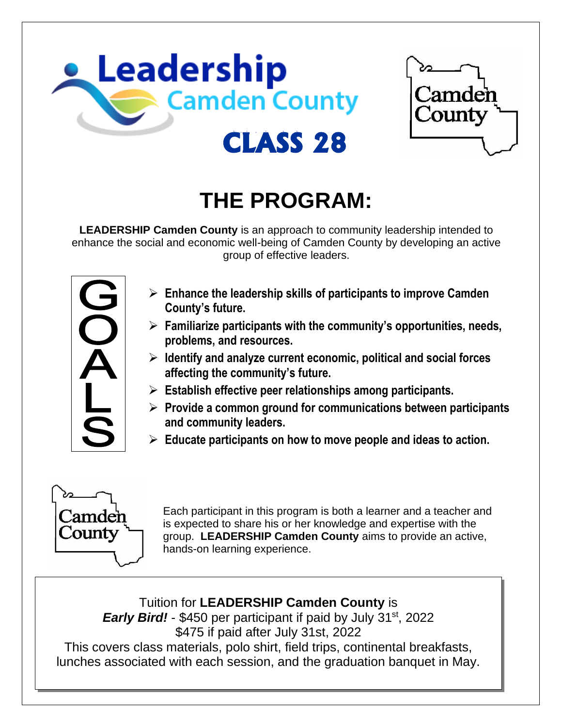



# **THE PROGRAM:**

**LEADERSHIP Camden County** is an approach to community leadership intended to enhance the social and economic well-being of Camden County by developing an active group of effective leaders.



- ➢ **Enhance the leadership skills of participants to improve Camden County's future.**
- ➢ **Familiarize participants with the community's opportunities, needs, problems, and resources.**
- ➢ **Identify and analyze current economic, political and social forces affecting the community's future.**
- ➢ **Establish effective peer relationships among participants.**
- ➢ **Provide a common ground for communications between participants and community leaders.**
- ➢ **Educate participants on how to move people and ideas to action.**



Each participant in this program is both a learner and a teacher and is expected to share his or her knowledge and expertise with the group. **LEADERSHIP Camden County** aims to provide an active, hands-on learning experience.

Tuition for **LEADERSHIP Camden County** is

**Early Bird!** - \$450 per participant if paid by July 31<sup>st</sup>, 2022 \$475 if paid after July 31st, 2022 This covers class materials, polo shirt, field trips, continental breakfasts, lunches associated with each session, and the graduation banquet in May.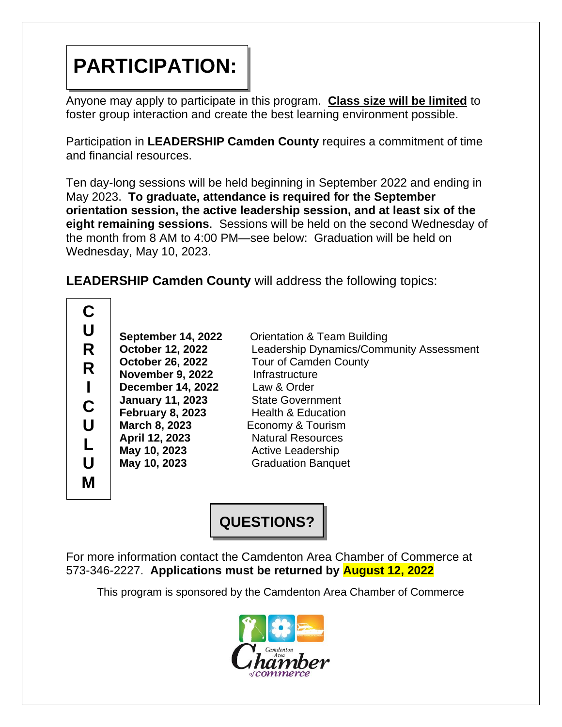## **PARTICIPATION:**

Anyone may apply to participate in this program. **Class size will be limited** to foster group interaction and create the best learning environment possible.

Participation in **LEADERSHIP Camden County** requires a commitment of time and financial resources.

Ten day-long sessions will be held beginning in September 2022 and ending in May 2023. **To graduate, attendance is required for the September orientation session, the active leadership session, and at least six of the eight remaining sessions**. Sessions will be held on the second Wednesday of the month from 8 AM to 4:00 PM—see below: Graduation will be held on Wednesday, May 10, 2023.

**LEADERSHIP Camden County** will address the following topics:

**C U R R I C U L U M**

**November 9, 2022** Infrastructure **December 14, 2022** Law & Order **January 11, 2023** State Government **April 12, 2023** Natural Resources **May 10, 2023** Active Leadership

**September 14, 2022** Orientation & Team Building **October 12, 2022** Leadership Dynamics/Community Assessment **October 26, 2022** Tour of Camden County **February 8, 2023** Health & Education **March 8, 2023** Economy & Tourism **May 10, 2023** Graduation Banquet

**QUESTIONS?**

For more information contact the Camdenton Area Chamber of Commerce at 573-346-2227. **Applications must be returned by August 12, 2022**

This program is sponsored by the Camdenton Area Chamber of Commerce

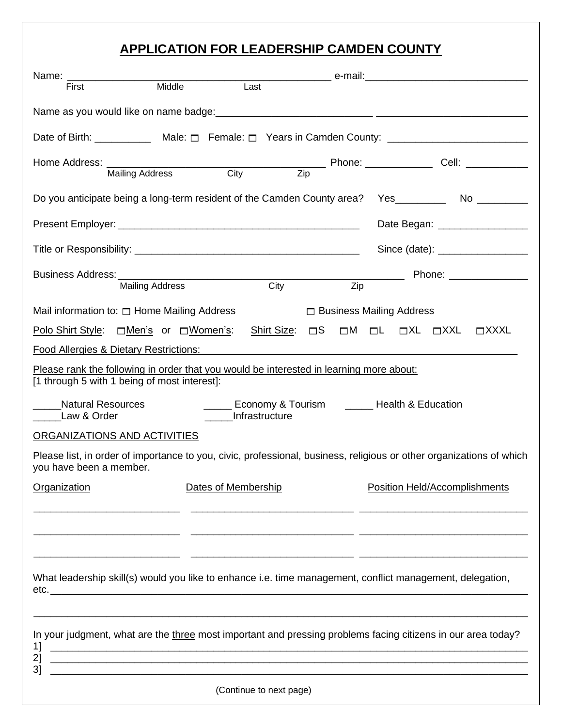### **APPLICATION FOR LEADERSHIP CAMDEN COUNTY**

| Name: ___________________                                                                                                                       | Middle                 |      | Last |                               |     |                                 |  |  |                                                                                                               |
|-------------------------------------------------------------------------------------------------------------------------------------------------|------------------------|------|------|-------------------------------|-----|---------------------------------|--|--|---------------------------------------------------------------------------------------------------------------|
| First                                                                                                                                           |                        |      |      |                               |     |                                 |  |  |                                                                                                               |
|                                                                                                                                                 |                        |      |      |                               |     |                                 |  |  |                                                                                                               |
| Date of Birth: ______________ Male: _ Female: _ Years in Camden County: ____________________________                                            |                        |      |      |                               |     |                                 |  |  |                                                                                                               |
|                                                                                                                                                 |                        |      |      |                               |     |                                 |  |  |                                                                                                               |
|                                                                                                                                                 | <b>Mailing Address</b> | City |      | Zip                           |     |                                 |  |  |                                                                                                               |
| Do you anticipate being a long-term resident of the Camden County area? Yes____________ No _________                                            |                        |      |      |                               |     |                                 |  |  |                                                                                                               |
|                                                                                                                                                 |                        |      |      |                               |     | Date Began: __________________  |  |  |                                                                                                               |
|                                                                                                                                                 |                        |      |      |                               |     |                                 |  |  |                                                                                                               |
| Business Address:                                                                                                                               |                        |      |      |                               |     |                                 |  |  | Phone: 2008 2010 2021 2022 2023 2024 2022 2023 2024 2022 2023 2024 2022 2023 2024 2022 2023 2024 2025 2026 20 |
|                                                                                                                                                 | <b>Mailing Address</b> |      | City |                               | Zip |                                 |  |  |                                                                                                               |
| Mail information to: $\Box$ Home Mailing Address                                                                                                |                        |      |      |                               |     | $\Box$ Business Mailing Address |  |  |                                                                                                               |
| Polo Shirt Style: □Men's or □Women's: Shirt Size: □S □M □L □XL □XXL □XXXL                                                                       |                        |      |      |                               |     |                                 |  |  |                                                                                                               |
| Food Allergies & Dietary Restrictions:                                                                                                          |                        |      |      |                               |     |                                 |  |  |                                                                                                               |
| Please rank the following in order that you would be interested in learning more about:<br>[1 through 5 with 1 being of most interest]:         |                        |      |      |                               |     |                                 |  |  |                                                                                                               |
| _____ Economy & Tourism _____ Health & Education<br><b>Natural Resources</b><br>Infrastructure<br>Law & Order                                   |                        |      |      |                               |     |                                 |  |  |                                                                                                               |
| ORGANIZATIONS AND ACTIVITIES                                                                                                                    |                        |      |      |                               |     |                                 |  |  |                                                                                                               |
| Please list, in order of importance to you, civic, professional, business, religious or other organizations of which<br>you have been a member. |                        |      |      |                               |     |                                 |  |  |                                                                                                               |
| Organization<br>Dates of Membership                                                                                                             |                        |      |      | Position Held/Accomplishments |     |                                 |  |  |                                                                                                               |
|                                                                                                                                                 |                        |      |      |                               |     |                                 |  |  |                                                                                                               |
|                                                                                                                                                 |                        |      |      |                               |     |                                 |  |  |                                                                                                               |
|                                                                                                                                                 |                        |      |      |                               |     |                                 |  |  |                                                                                                               |
| What leadership skill(s) would you like to enhance i.e. time management, conflict management, delegation,                                       |                        |      |      |                               |     |                                 |  |  |                                                                                                               |
|                                                                                                                                                 |                        |      |      |                               |     |                                 |  |  |                                                                                                               |
| In your judgment, what are the three most important and pressing problems facing citizens in our area today?                                    |                        |      |      |                               |     |                                 |  |  |                                                                                                               |
| 2]<br>31                                                                                                                                        |                        |      |      |                               |     |                                 |  |  |                                                                                                               |
|                                                                                                                                                 |                        |      |      |                               |     |                                 |  |  |                                                                                                               |

(Continue to next page)